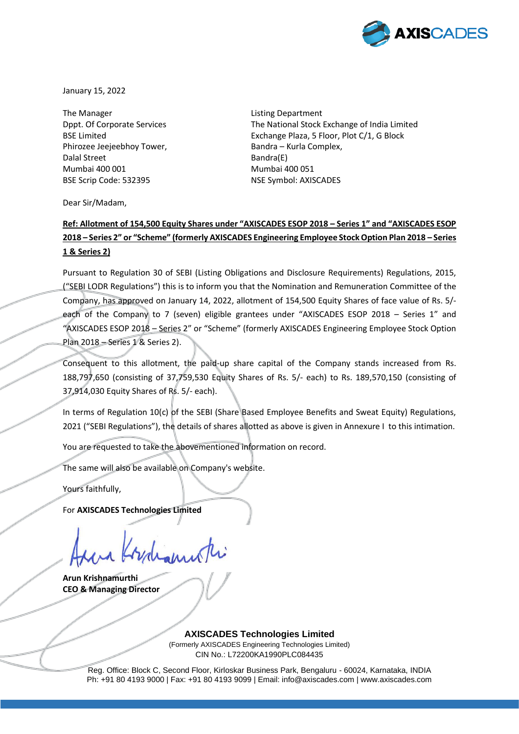

January 15, 2022

The Manager The Manager and The Manager and The Manager and Listing Department Phirozee Jeejeebhoy Tower, Bandra – Kurla Complex, Dalal Street Bandra(E) Mumbai 400 001 Mumbai 400 051 BSE Scrip Code: 532395 NSE Symbol: AXISCADES

Dppt. Of Corporate Services The National Stock Exchange of India Limited BSE Limited **Exchange Plaza, 5 Floor, Plot C/1, G Block** 

Dear Sir/Madam,

## **Ref: Allotment of 154,500 Equity Shares under "AXISCADES ESOP 2018 – Series 1" and "AXISCADES ESOP 2018 – Series 2" or "Scheme" (formerly AXISCADES Engineering Employee Stock Option Plan 2018 – Series 1 & Series 2)**

Pursuant to Regulation 30 of SEBI (Listing Obligations and Disclosure Requirements) Regulations, 2015, ("SEBI LODR Regulations") this is to inform you that the Nomination and Remuneration Committee of the Company, has approved on January 14, 2022, allotment of 154,500 Equity Shares of face value of Rs. 5/ each of the Company to 7 (seven) eligible grantees under "AXISCADES ESOP 2018 - Series 1" and "AXISCADES ESOP 2018 – Series 2" or "Scheme" (formerly AXISCADES Engineering Employee Stock Option Plan 2018 – Series 1 & Series 2).

Consequent to this allotment, the paid-up share capital of the Company stands increased from Rs. 188,797,650 (consisting of 37,759,530 Equity Shares of Rs. 5/- each) to Rs. 189,570,150 (consisting of 37,914,030 Equity Shares of Rs. 5/- each).

In terms of Regulation 10(c) of the SEBI (Share Based Employee Benefits and Sweat Equity) Regulations, 2021 ("SEBI Regulations"), the details of shares allotted as above is given in Annexure I to this intimation.

You are requested to take the abovementioned information on record.

The same will also be available on Company's website.

Yours faithfully,

For **AXISCADES Technologies Limited**

**Arun Krishnamurthi CEO & Managing Director**

**AXISCADES Technologies Limited** (Formerly AXISCADES Engineering Technologies Limited) CIN No.: L72200KA1990PLC084435

Reg. Office: Block C, Second Floor, Kirloskar Business Park, Bengaluru - 60024, Karnataka, INDIA Ph: +91 80 4193 9000 | Fax: +91 80 4193 9099 | Email: info@axiscades.com | www.axiscades.com